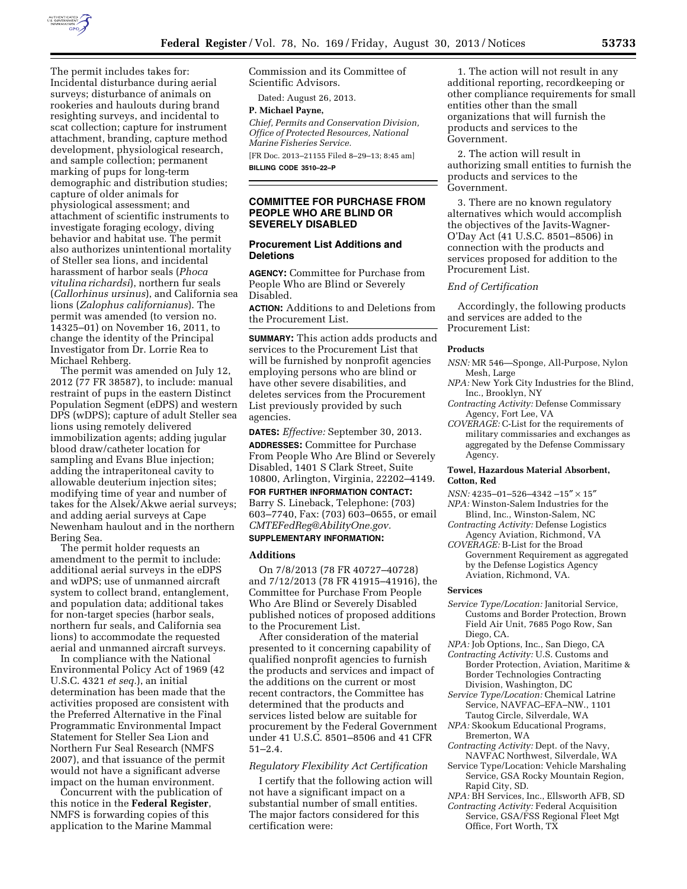

The permit includes takes for: Incidental disturbance during aerial surveys; disturbance of animals on rookeries and haulouts during brand resighting surveys, and incidental to scat collection; capture for instrument attachment, branding, capture method development, physiological research, and sample collection; permanent marking of pups for long-term demographic and distribution studies; capture of older animals for physiological assessment; and attachment of scientific instruments to investigate foraging ecology, diving behavior and habitat use. The permit also authorizes unintentional mortality of Steller sea lions, and incidental harassment of harbor seals (*Phoca vitulina richardsi*), northern fur seals (*Callorhinus ursinus*), and California sea lions (*Zalophus californianus*). The permit was amended (to version no. 14325–01) on November 16, 2011, to change the identity of the Principal Investigator from Dr. Lorrie Rea to Michael Rehberg.

The permit was amended on July 12, 2012 (77 FR 38587), to include: manual restraint of pups in the eastern Distinct Population Segment (eDPS) and western DPS (wDPS); capture of adult Steller sea lions using remotely delivered immobilization agents; adding jugular blood draw/catheter location for sampling and Evans Blue injection; adding the intraperitoneal cavity to allowable deuterium injection sites; modifying time of year and number of takes for the Alsek/Akwe aerial surveys; and adding aerial surveys at Cape Newenham haulout and in the northern Bering Sea.

The permit holder requests an amendment to the permit to include: additional aerial surveys in the eDPS and wDPS; use of unmanned aircraft system to collect brand, entanglement, and population data; additional takes for non-target species (harbor seals, northern fur seals, and California sea lions) to accommodate the requested aerial and unmanned aircraft surveys.

In compliance with the National Environmental Policy Act of 1969 (42 U.S.C. 4321 *et seq.*), an initial determination has been made that the activities proposed are consistent with the Preferred Alternative in the Final Programmatic Environmental Impact Statement for Steller Sea Lion and Northern Fur Seal Research (NMFS 2007), and that issuance of the permit would not have a significant adverse impact on the human environment.

Concurrent with the publication of this notice in the **Federal Register**, NMFS is forwarding copies of this application to the Marine Mammal

Commission and its Committee of Scientific Advisors.

Dated: August 26, 2013.

### **P. Michael Payne,**  *Chief, Permits and Conservation Division,*

*Office of Protected Resources, National Marine Fisheries Service.* 

[FR Doc. 2013–21155 Filed 8–29–13; 8:45 am] **BILLING CODE 3510–22–P** 

### **COMMITTEE FOR PURCHASE FROM PEOPLE WHO ARE BLIND OR SEVERELY DISABLED**

### **Procurement List Additions and Deletions**

**AGENCY:** Committee for Purchase from People Who are Blind or Severely Disabled.

**ACTION:** Additions to and Deletions from the Procurement List.

**SUMMARY:** This action adds products and services to the Procurement List that will be furnished by nonprofit agencies employing persons who are blind or have other severe disabilities, and deletes services from the Procurement List previously provided by such agencies.

**DATES:** *Effective:* September 30, 2013. **ADDRESSES:** Committee for Purchase From People Who Are Blind or Severely Disabled, 1401 S Clark Street, Suite 10800, Arlington, Virginia, 22202–4149. **FOR FURTHER INFORMATION CONTACT:**  Barry S. Lineback, Telephone: (703) 603–7740, Fax: (703) 603–0655, or email *[CMTEFedReg@AbilityOne.gov.](mailto:CMTEFedReg@AbilityOne.gov)*  **SUPPLEMENTARY INFORMATION:** 

# **Additions**

On 7/8/2013 (78 FR 40727–40728) and 7/12/2013 (78 FR 41915–41916), the Committee for Purchase From People Who Are Blind or Severely Disabled published notices of proposed additions to the Procurement List.

After consideration of the material presented to it concerning capability of qualified nonprofit agencies to furnish the products and services and impact of the additions on the current or most recent contractors, the Committee has determined that the products and services listed below are suitable for procurement by the Federal Government under 41 U.S.C. 8501–8506 and 41 CFR 51–2.4.

### *Regulatory Flexibility Act Certification*

I certify that the following action will not have a significant impact on a substantial number of small entities. The major factors considered for this certification were:

1. The action will not result in any additional reporting, recordkeeping or other compliance requirements for small entities other than the small organizations that will furnish the products and services to the Government.

2. The action will result in authorizing small entities to furnish the products and services to the Government.

3. There are no known regulatory alternatives which would accomplish the objectives of the Javits-Wagner-O'Day Act (41 U.S.C. 8501–8506) in connection with the products and services proposed for addition to the Procurement List.

#### *End of Certification*

Accordingly, the following products and services are added to the Procurement List:

#### **Products**

*NSN:* MR 546—Sponge, All-Purpose, Nylon Mesh, Large

- *NPA:* New York City Industries for the Blind, Inc., Brooklyn, NY
- *Contracting Activity:* Defense Commissary Agency, Fort Lee, VA
- *COVERAGE:* C-List for the requirements of military commissaries and exchanges as aggregated by the Defense Commissary Agency.

#### **Towel, Hazardous Material Absorbent, Cotton, Red**

- *NSN:* 4235–01–526–4342 –15″ × 15″
- *NPA:* Winston-Salem Industries for the Blind, Inc., Winston-Salem, NC
- *Contracting Activity:* Defense Logistics Agency Aviation, Richmond, VA
- *COVERAGE:* B-List for the Broad Government Requirement as aggregated by the Defense Logistics Agency Aviation, Richmond, VA.

## **Services**

- *Service Type/Location:* Janitorial Service, Customs and Border Protection, Brown Field Air Unit, 7685 Pogo Row, San Diego, CA.
- *NPA:* Job Options, Inc., San Diego, CA
- *Contracting Activity:* U.S. Customs and Border Protection, Aviation, Maritime & Border Technologies Contracting Division, Washington, DC
- *Service Type/Location:* Chemical Latrine Service, NAVFAC–EFA–NW., 1101 Tautog Circle, Silverdale, WA
- *NPA:* Skookum Educational Programs, Bremerton, WA
- *Contracting Activity:* Dept. of the Navy, NAVFAC Northwest, Silverdale, WA
- Service Type/Location: Vehicle Marshaling Service, GSA Rocky Mountain Region, Rapid City, SD.
- *NPA:* BH Services, Inc., Ellsworth AFB, SD *Contracting Activity:* Federal Acquisition
- Service, GSA/FSS Regional Fleet Mgt Office, Fort Worth, TX